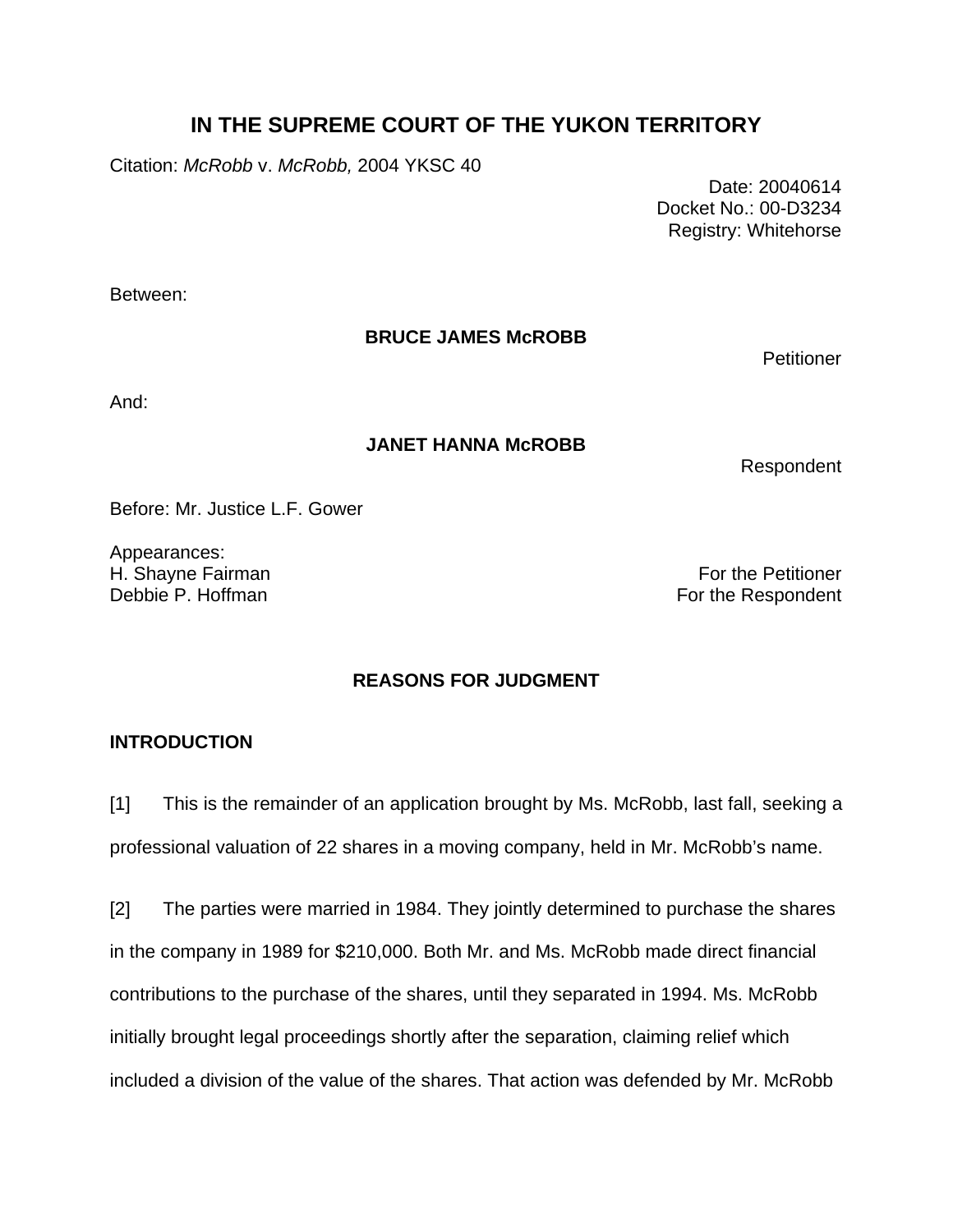# **IN THE SUPREME COURT OF THE YUKON TERRITORY**

Citation: *McRobb* v. *McRobb,* 2004 YKSC 40

 Date: 20040614 Docket No.: 00-D3234 Registry: Whitehorse

Between:

# **BRUCE JAMES McROBB**

**Petitioner** 

And:

# **JANET HANNA McROBB**

Respondent

Before: Mr. Justice L.F. Gower

Appearances:

H. Shayne Fairman For the Petitioner Debbie P. Hoffman For the Respondent

# **REASONS FOR JUDGMENT**

# **INTRODUCTION**

[1] This is the remainder of an application brought by Ms. McRobb, last fall, seeking a professional valuation of 22 shares in a moving company, held in Mr. McRobb's name.

[2] The parties were married in 1984. They jointly determined to purchase the shares in the company in 1989 for \$210,000. Both Mr. and Ms. McRobb made direct financial contributions to the purchase of the shares, until they separated in 1994. Ms. McRobb initially brought legal proceedings shortly after the separation, claiming relief which included a division of the value of the shares. That action was defended by Mr. McRobb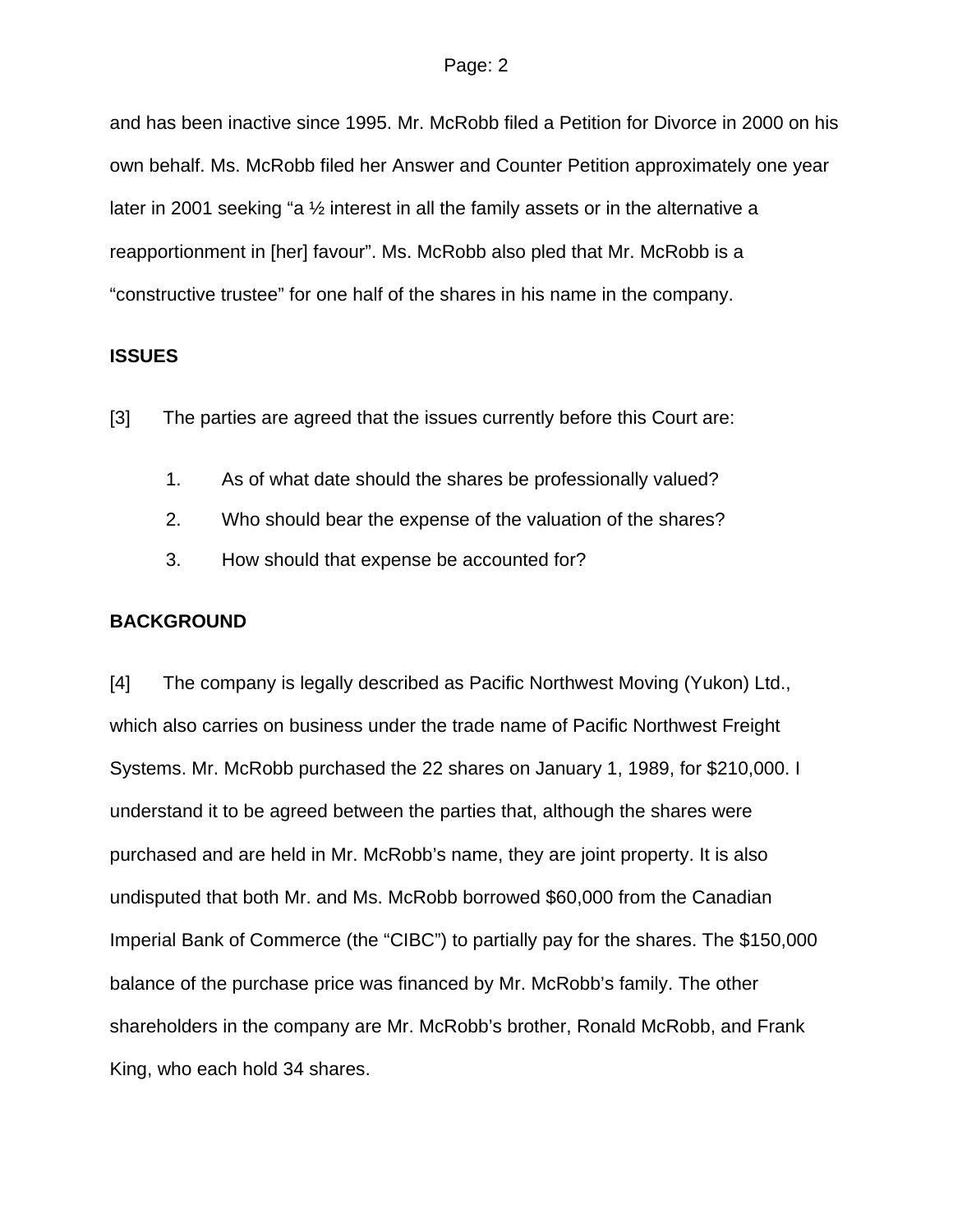and has been inactive since 1995. Mr. McRobb filed a Petition for Divorce in 2000 on his own behalf. Ms. McRobb filed her Answer and Counter Petition approximately one year later in 2001 seeking "a 1/<sub>2</sub> interest in all the family assets or in the alternative a reapportionment in [her] favour". Ms. McRobb also pled that Mr. McRobb is a "constructive trustee" for one half of the shares in his name in the company.

### **ISSUES**

- [3] The parties are agreed that the issues currently before this Court are:
	- 1. As of what date should the shares be professionally valued?
	- 2. Who should bear the expense of the valuation of the shares?
	- 3. How should that expense be accounted for?

### **BACKGROUND**

[4] The company is legally described as Pacific Northwest Moving (Yukon) Ltd., which also carries on business under the trade name of Pacific Northwest Freight Systems. Mr. McRobb purchased the 22 shares on January 1, 1989, for \$210,000. I understand it to be agreed between the parties that, although the shares were purchased and are held in Mr. McRobb's name, they are joint property. It is also undisputed that both Mr. and Ms. McRobb borrowed \$60,000 from the Canadian Imperial Bank of Commerce (the "CIBC") to partially pay for the shares. The \$150,000 balance of the purchase price was financed by Mr. McRobb's family. The other shareholders in the company are Mr. McRobb's brother, Ronald McRobb, and Frank King, who each hold 34 shares.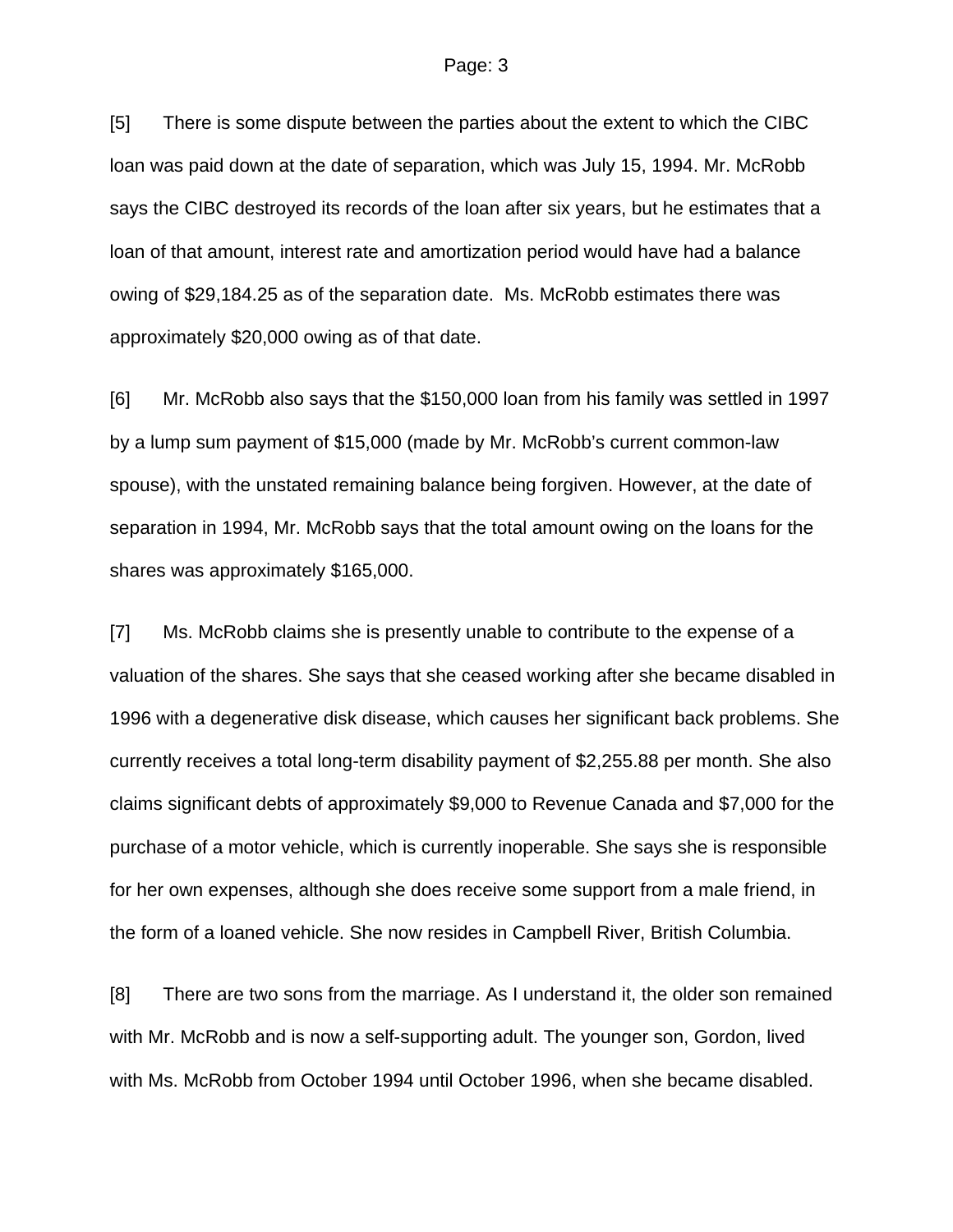[5] There is some dispute between the parties about the extent to which the CIBC loan was paid down at the date of separation, which was July 15, 1994. Mr. McRobb says the CIBC destroyed its records of the loan after six years, but he estimates that a loan of that amount, interest rate and amortization period would have had a balance owing of \$29,184.25 as of the separation date. Ms. McRobb estimates there was approximately \$20,000 owing as of that date.

[6] Mr. McRobb also says that the \$150,000 loan from his family was settled in 1997 by a lump sum payment of \$15,000 (made by Mr. McRobb's current common-law spouse), with the unstated remaining balance being forgiven. However, at the date of separation in 1994, Mr. McRobb says that the total amount owing on the loans for the shares was approximately \$165,000.

[7] Ms. McRobb claims she is presently unable to contribute to the expense of a valuation of the shares. She says that she ceased working after she became disabled in 1996 with a degenerative disk disease, which causes her significant back problems. She currently receives a total long-term disability payment of \$2,255.88 per month. She also claims significant debts of approximately \$9,000 to Revenue Canada and \$7,000 for the purchase of a motor vehicle, which is currently inoperable. She says she is responsible for her own expenses, although she does receive some support from a male friend, in the form of a loaned vehicle. She now resides in Campbell River, British Columbia.

[8] There are two sons from the marriage. As I understand it, the older son remained with Mr. McRobb and is now a self-supporting adult. The younger son, Gordon, lived with Ms. McRobb from October 1994 until October 1996, when she became disabled.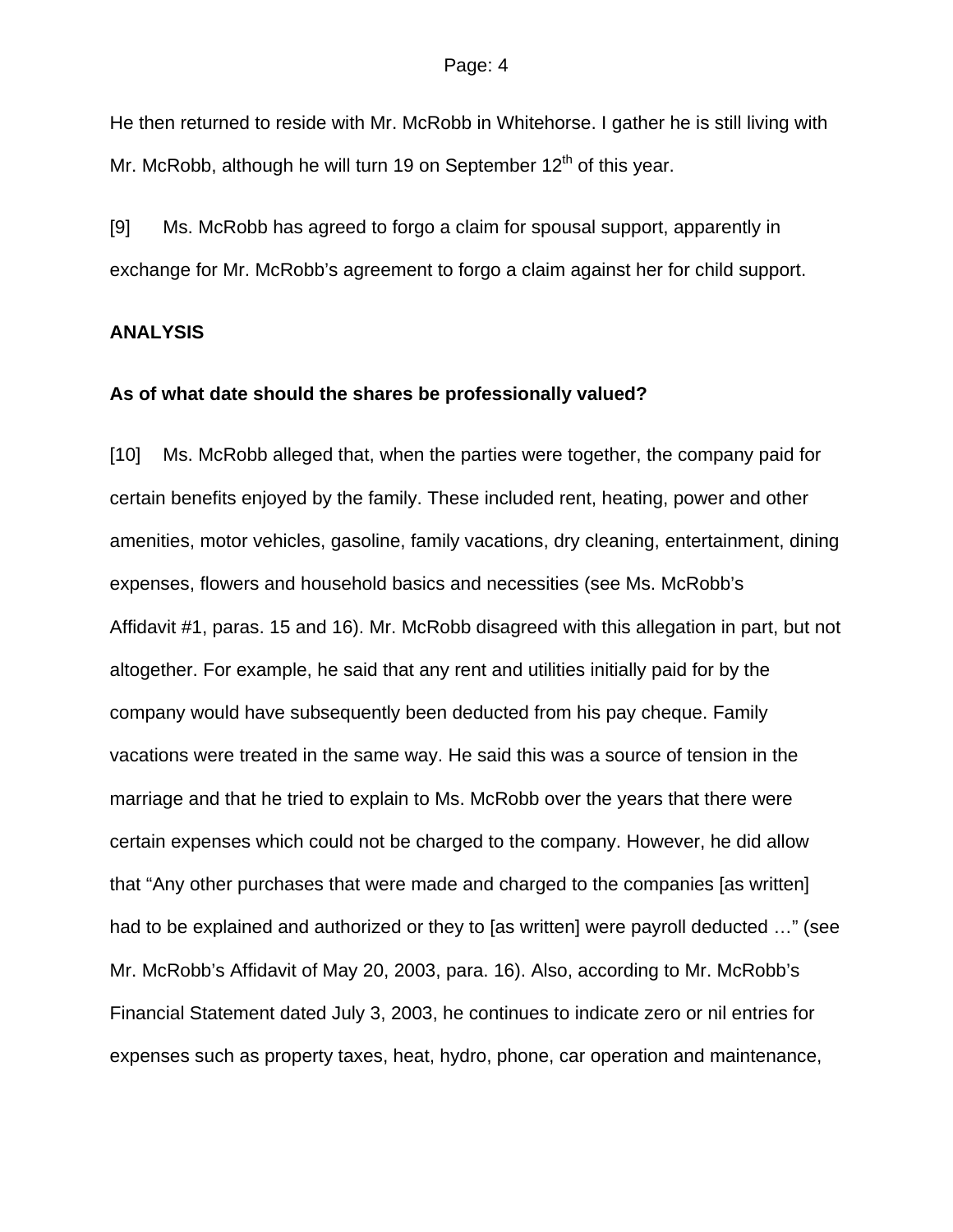He then returned to reside with Mr. McRobb in Whitehorse. I gather he is still living with Mr. McRobb, although he will turn 19 on September  $12<sup>th</sup>$  of this year.

[9] Ms. McRobb has agreed to forgo a claim for spousal support, apparently in exchange for Mr. McRobb's agreement to forgo a claim against her for child support.

## **ANALYSIS**

#### **As of what date should the shares be professionally valued?**

[10] Ms. McRobb alleged that, when the parties were together, the company paid for certain benefits enjoyed by the family. These included rent, heating, power and other amenities, motor vehicles, gasoline, family vacations, dry cleaning, entertainment, dining expenses, flowers and household basics and necessities (see Ms. McRobb's Affidavit #1, paras. 15 and 16). Mr. McRobb disagreed with this allegation in part, but not altogether. For example, he said that any rent and utilities initially paid for by the company would have subsequently been deducted from his pay cheque. Family vacations were treated in the same way. He said this was a source of tension in the marriage and that he tried to explain to Ms. McRobb over the years that there were certain expenses which could not be charged to the company. However, he did allow that "Any other purchases that were made and charged to the companies [as written] had to be explained and authorized or they to [as written] were payroll deducted …" (see Mr. McRobb's Affidavit of May 20, 2003, para. 16). Also, according to Mr. McRobb's Financial Statement dated July 3, 2003, he continues to indicate zero or nil entries for expenses such as property taxes, heat, hydro, phone, car operation and maintenance,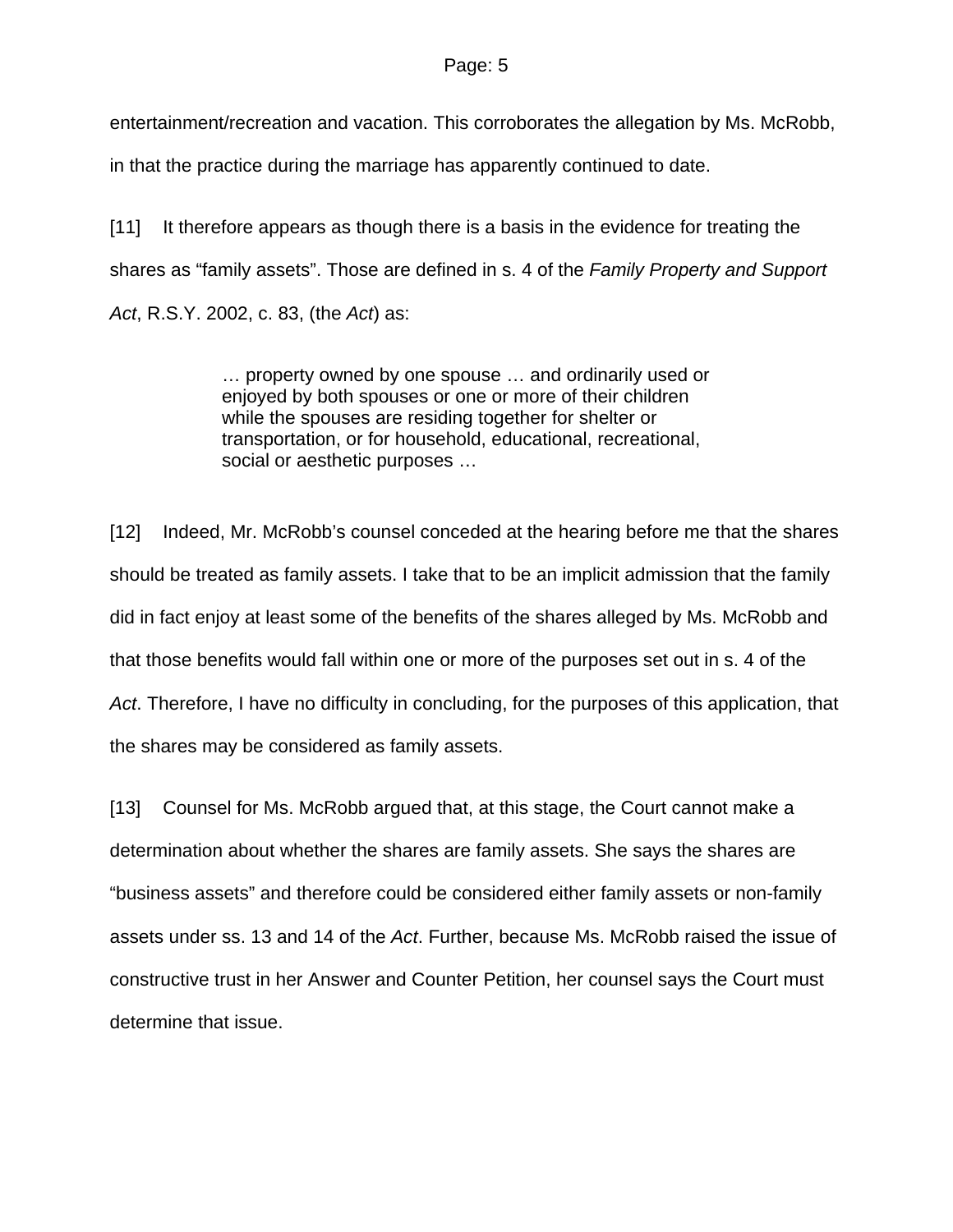#### Page: 5

entertainment/recreation and vacation. This corroborates the allegation by Ms. McRobb,

in that the practice during the marriage has apparently continued to date.

[11] It therefore appears as though there is a basis in the evidence for treating the shares as "family assets". Those are defined in s. 4 of the *Family Property and Support Act*, R.S.Y. 2002, c. 83, (the *Act*) as:

> … property owned by one spouse … and ordinarily used or enjoyed by both spouses or one or more of their children while the spouses are residing together for shelter or transportation, or for household, educational, recreational, social or aesthetic purposes …

[12] Indeed, Mr. McRobb's counsel conceded at the hearing before me that the shares should be treated as family assets. I take that to be an implicit admission that the family did in fact enjoy at least some of the benefits of the shares alleged by Ms. McRobb and that those benefits would fall within one or more of the purposes set out in s. 4 of the *Act*. Therefore, I have no difficulty in concluding, for the purposes of this application, that the shares may be considered as family assets.

[13] Counsel for Ms. McRobb argued that, at this stage, the Court cannot make a determination about whether the shares are family assets. She says the shares are "business assets" and therefore could be considered either family assets or non-family assets under ss. 13 and 14 of the *Act*. Further, because Ms. McRobb raised the issue of constructive trust in her Answer and Counter Petition, her counsel says the Court must determine that issue.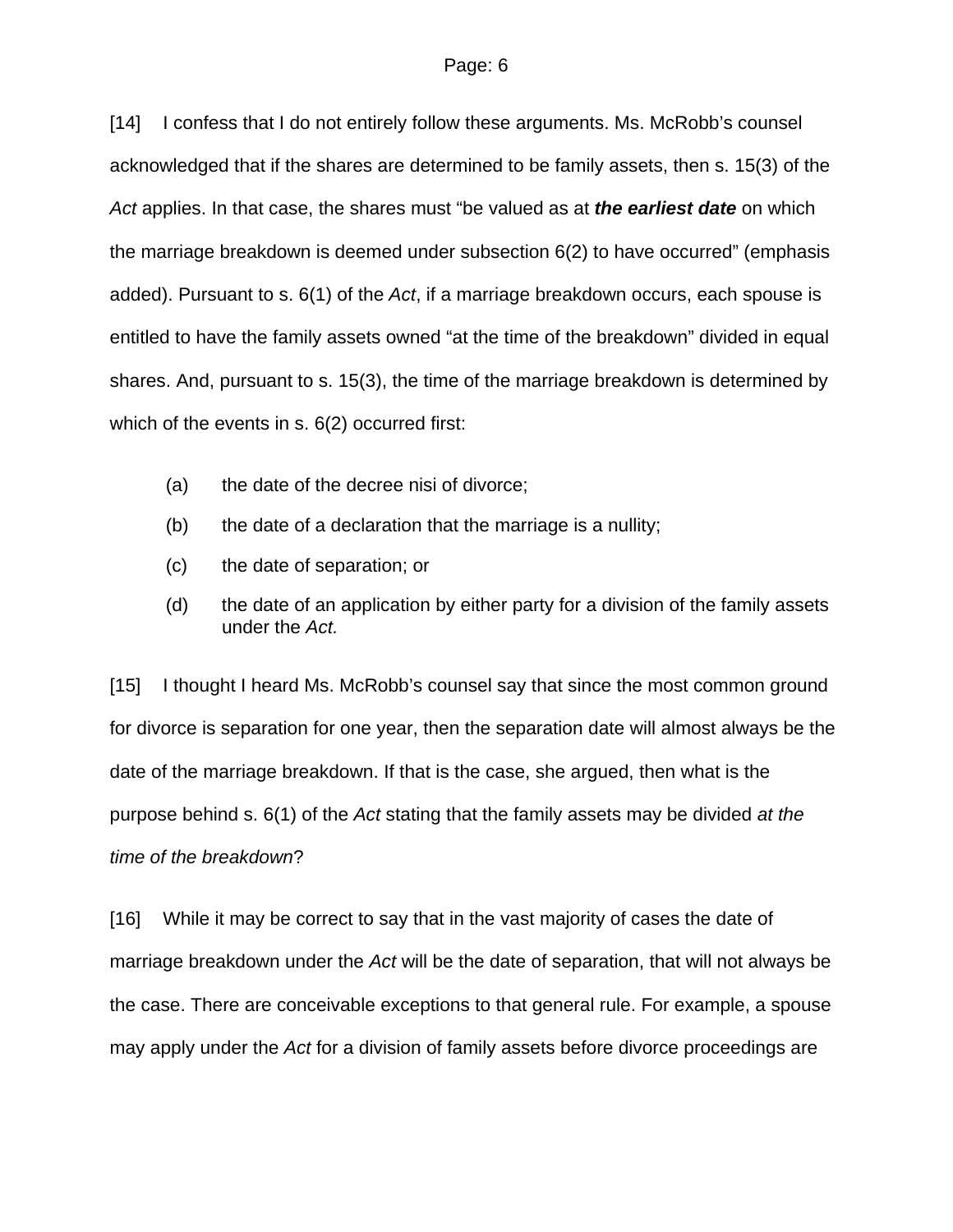[14] I confess that I do not entirely follow these arguments. Ms. McRobb's counsel acknowledged that if the shares are determined to be family assets, then s. 15(3) of the *Act* applies. In that case, the shares must "be valued as at *the earliest date* on which the marriage breakdown is deemed under subsection 6(2) to have occurred" (emphasis added). Pursuant to s. 6(1) of the *Act*, if a marriage breakdown occurs, each spouse is entitled to have the family assets owned "at the time of the breakdown" divided in equal shares. And, pursuant to s. 15(3), the time of the marriage breakdown is determined by which of the events in s. 6(2) occurred first:

- (a) the date of the decree nisi of divorce;
- (b) the date of a declaration that the marriage is a nullity;
- (c) the date of separation; or
- (d) the date of an application by either party for a division of the family assets under the *Act.*

[15] I thought I heard Ms. McRobb's counsel say that since the most common ground for divorce is separation for one year, then the separation date will almost always be the date of the marriage breakdown. If that is the case, she argued, then what is the purpose behind s. 6(1) of the *Act* stating that the family assets may be divided *at the time of the breakdown*?

[16] While it may be correct to say that in the vast majority of cases the date of marriage breakdown under the *Act* will be the date of separation, that will not always be the case. There are conceivable exceptions to that general rule. For example, a spouse may apply under the *Act* for a division of family assets before divorce proceedings are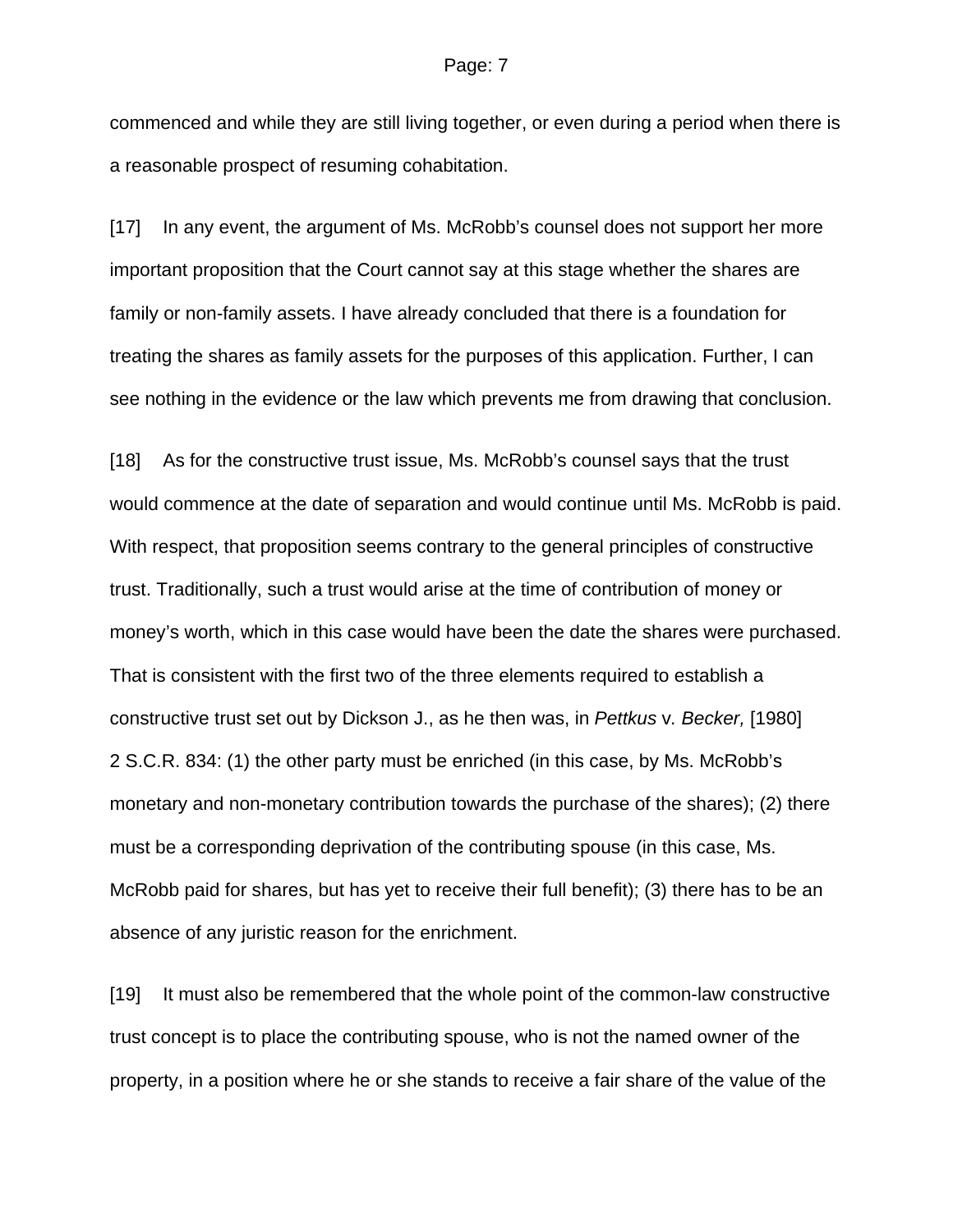commenced and while they are still living together, or even during a period when there is a reasonable prospect of resuming cohabitation.

[17] In any event, the argument of Ms. McRobb's counsel does not support her more important proposition that the Court cannot say at this stage whether the shares are family or non-family assets. I have already concluded that there is a foundation for treating the shares as family assets for the purposes of this application. Further, I can see nothing in the evidence or the law which prevents me from drawing that conclusion.

[18] As for the constructive trust issue, Ms. McRobb's counsel says that the trust would commence at the date of separation and would continue until Ms. McRobb is paid. With respect, that proposition seems contrary to the general principles of constructive trust. Traditionally, such a trust would arise at the time of contribution of money or money's worth, which in this case would have been the date the shares were purchased. That is consistent with the first two of the three elements required to establish a constructive trust set out by Dickson J., as he then was, in *Pettkus* v*. Becker,* [1980] 2 S.C.R. 834: (1) the other party must be enriched (in this case, by Ms. McRobb's monetary and non-monetary contribution towards the purchase of the shares); (2) there must be a corresponding deprivation of the contributing spouse (in this case, Ms. McRobb paid for shares, but has yet to receive their full benefit); (3) there has to be an absence of any juristic reason for the enrichment.

[19] It must also be remembered that the whole point of the common-law constructive trust concept is to place the contributing spouse, who is not the named owner of the property, in a position where he or she stands to receive a fair share of the value of the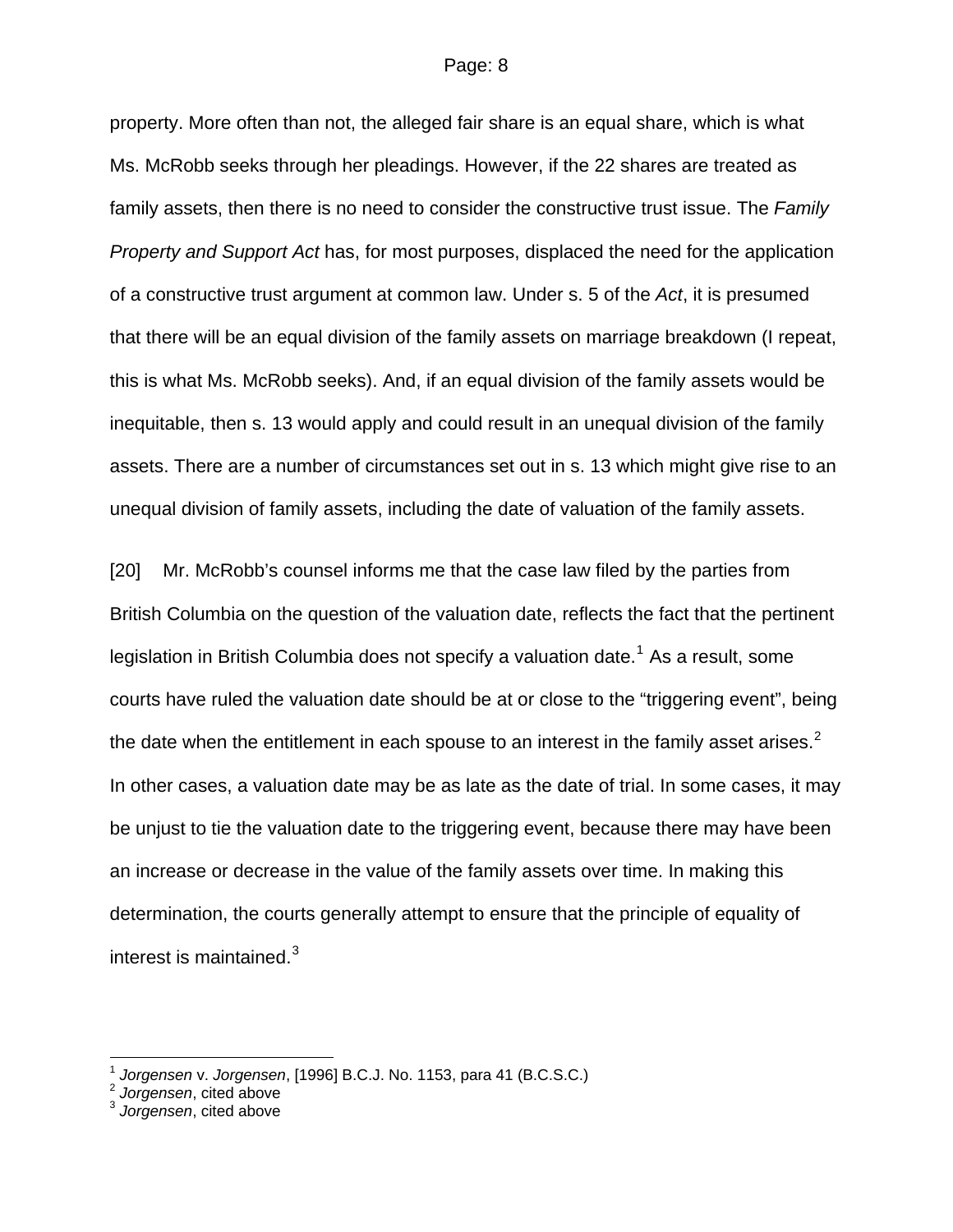#### Page: 8

property. More often than not, the alleged fair share is an equal share, which is what Ms. McRobb seeks through her pleadings. However, if the 22 shares are treated as family assets, then there is no need to consider the constructive trust issue. The *Family Property and Support Act* has, for most purposes, displaced the need for the application of a constructive trust argument at common law. Under s. 5 of the *Act*, it is presumed that there will be an equal division of the family assets on marriage breakdown (I repeat, this is what Ms. McRobb seeks). And, if an equal division of the family assets would be inequitable, then s. 13 would apply and could result in an unequal division of the family assets. There are a number of circumstances set out in s. 13 which might give rise to an unequal division of family assets, including the date of valuation of the family assets.

[20] Mr. McRobb's counsel informs me that the case law filed by the parties from British Columbia on the question of the valuation date, reflects the fact that the pertinent legislation in British Columbia does not specify a valuation date.<sup>[1](#page-7-0)</sup> As a result, some courts have ruled the valuation date should be at or close to the "triggering event", being the date when the entitlement in each spouse to an interest in the family asset arises.<sup>[2](#page-7-1)</sup> In other cases, a valuation date may be as late as the date of trial. In some cases, it may be unjust to tie the valuation date to the triggering event, because there may have been an increase or decrease in the value of the family assets over time. In making this determination, the courts generally attempt to ensure that the principle of equality of interest is maintained. $3$ 

l

<span id="page-7-0"></span><sup>1</sup> *Jorgensen* v. *Jorgensen*, [1996] B.C.J. No. 1153, para 41 (B.C.S.C.) 2 *Jorgensen*, cited above

<span id="page-7-1"></span>

<span id="page-7-2"></span><sup>3</sup> *Jorgensen*, cited above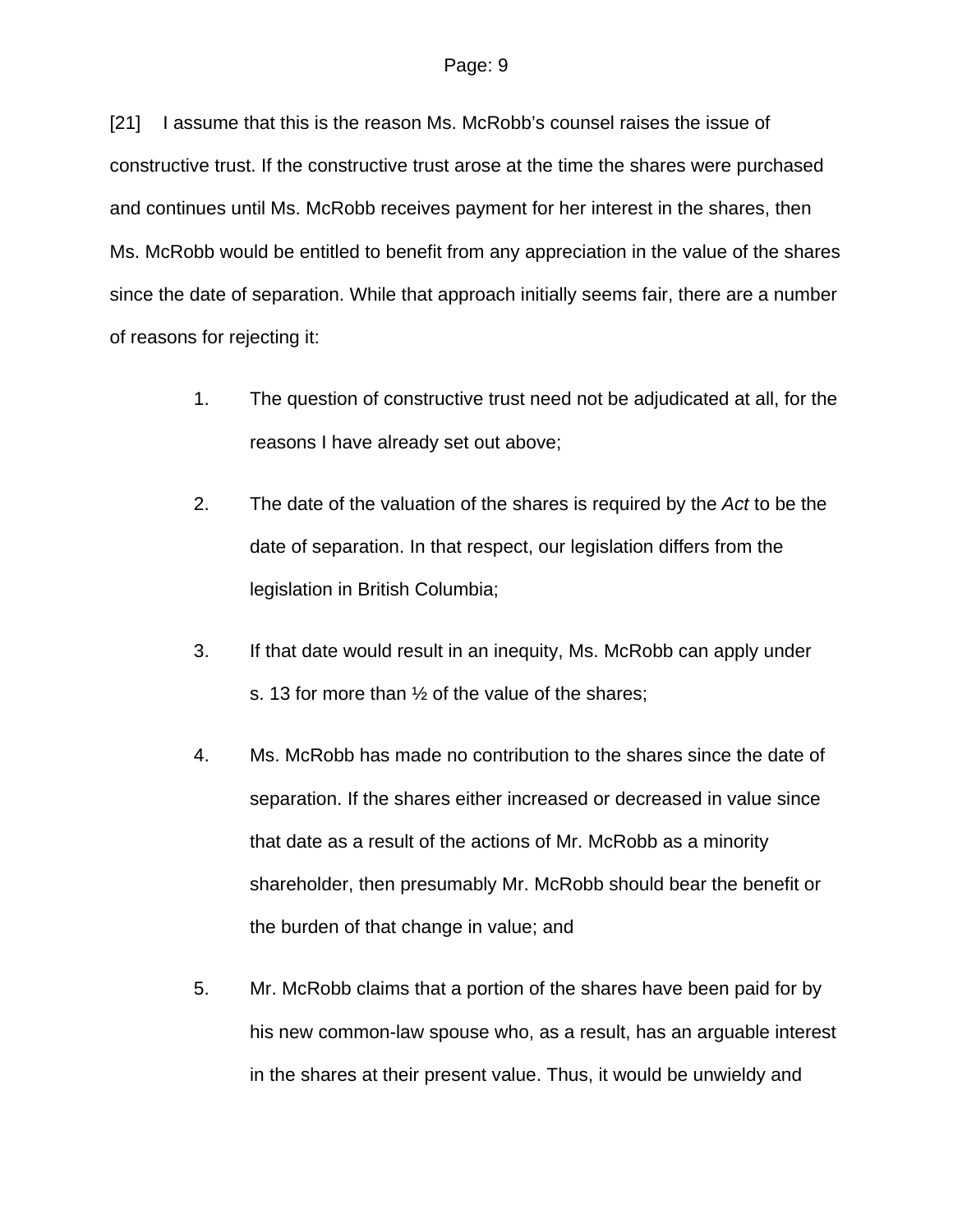[21] I assume that this is the reason Ms. McRobb's counsel raises the issue of constructive trust. If the constructive trust arose at the time the shares were purchased and continues until Ms. McRobb receives payment for her interest in the shares, then Ms. McRobb would be entitled to benefit from any appreciation in the value of the shares since the date of separation. While that approach initially seems fair, there are a number of reasons for rejecting it:

- 1. The question of constructive trust need not be adjudicated at all, for the reasons I have already set out above;
- 2. The date of the valuation of the shares is required by the *Act* to be the date of separation. In that respect, our legislation differs from the legislation in British Columbia;
- 3. If that date would result in an inequity, Ms. McRobb can apply under s. 13 for more than  $\frac{1}{2}$  of the value of the shares;
- 4. Ms. McRobb has made no contribution to the shares since the date of separation. If the shares either increased or decreased in value since that date as a result of the actions of Mr. McRobb as a minority shareholder, then presumably Mr. McRobb should bear the benefit or the burden of that change in value; and
- 5. Mr. McRobb claims that a portion of the shares have been paid for by his new common-law spouse who, as a result, has an arguable interest in the shares at their present value. Thus, it would be unwieldy and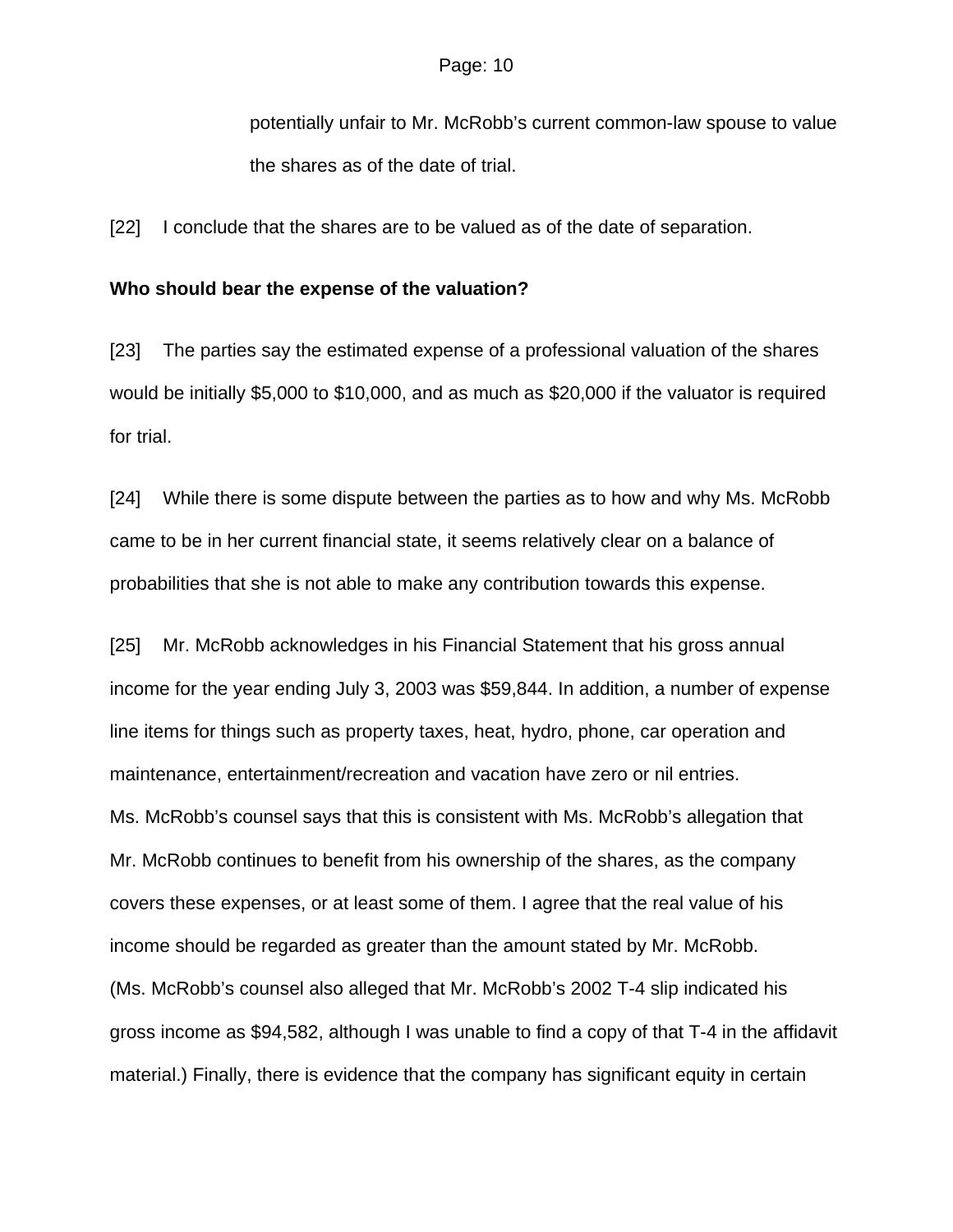potentially unfair to Mr. McRobb's current common-law spouse to value the shares as of the date of trial.

[22] I conclude that the shares are to be valued as of the date of separation.

#### **Who should bear the expense of the valuation?**

[23] The parties say the estimated expense of a professional valuation of the shares would be initially \$5,000 to \$10,000, and as much as \$20,000 if the valuator is required for trial.

[24] While there is some dispute between the parties as to how and why Ms. McRobb came to be in her current financial state, it seems relatively clear on a balance of probabilities that she is not able to make any contribution towards this expense.

[25] Mr. McRobb acknowledges in his Financial Statement that his gross annual income for the year ending July 3, 2003 was \$59,844. In addition, a number of expense line items for things such as property taxes, heat, hydro, phone, car operation and maintenance, entertainment/recreation and vacation have zero or nil entries. Ms. McRobb's counsel says that this is consistent with Ms. McRobb's allegation that Mr. McRobb continues to benefit from his ownership of the shares, as the company covers these expenses, or at least some of them. I agree that the real value of his income should be regarded as greater than the amount stated by Mr. McRobb. (Ms. McRobb's counsel also alleged that Mr. McRobb's 2002 T-4 slip indicated his gross income as \$94,582, although I was unable to find a copy of that T-4 in the affidavit material.) Finally, there is evidence that the company has significant equity in certain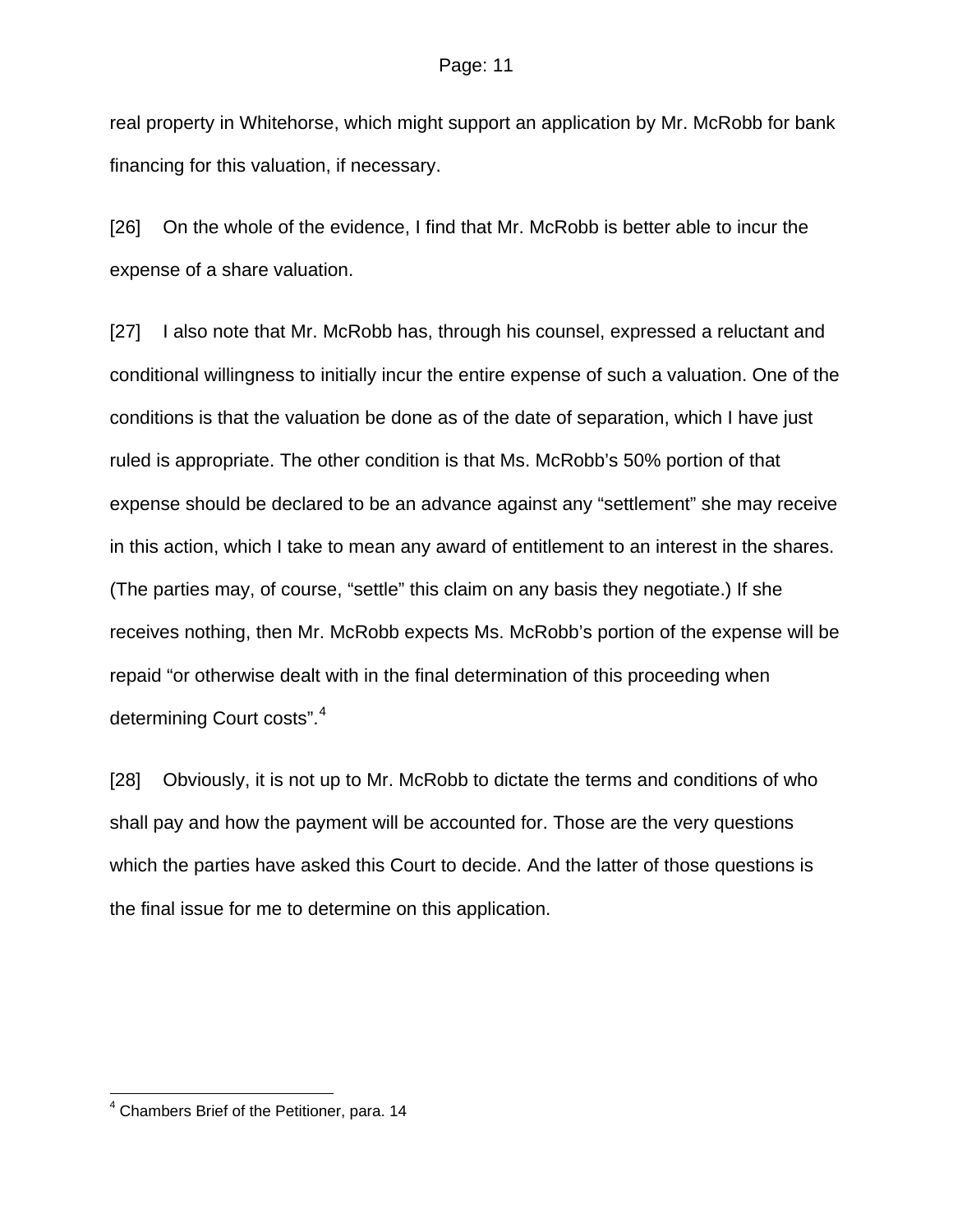#### Page: 11

real property in Whitehorse, which might support an application by Mr. McRobb for bank financing for this valuation, if necessary.

[26] On the whole of the evidence, I find that Mr. McRobb is better able to incur the expense of a share valuation.

[27] I also note that Mr. McRobb has, through his counsel, expressed a reluctant and conditional willingness to initially incur the entire expense of such a valuation. One of the conditions is that the valuation be done as of the date of separation, which I have just ruled is appropriate. The other condition is that Ms. McRobb's 50% portion of that expense should be declared to be an advance against any "settlement" she may receive in this action, which I take to mean any award of entitlement to an interest in the shares. (The parties may, of course, "settle" this claim on any basis they negotiate.) If she receives nothing, then Mr. McRobb expects Ms. McRobb's portion of the expense will be repaid "or otherwise dealt with in the final determination of this proceeding when determining Court costs".[4](#page-10-0)

[28] Obviously, it is not up to Mr. McRobb to dictate the terms and conditions of who shall pay and how the payment will be accounted for. Those are the very questions which the parties have asked this Court to decide. And the latter of those questions is the final issue for me to determine on this application.

l

<span id="page-10-0"></span><sup>4</sup> Chambers Brief of the Petitioner, para. 14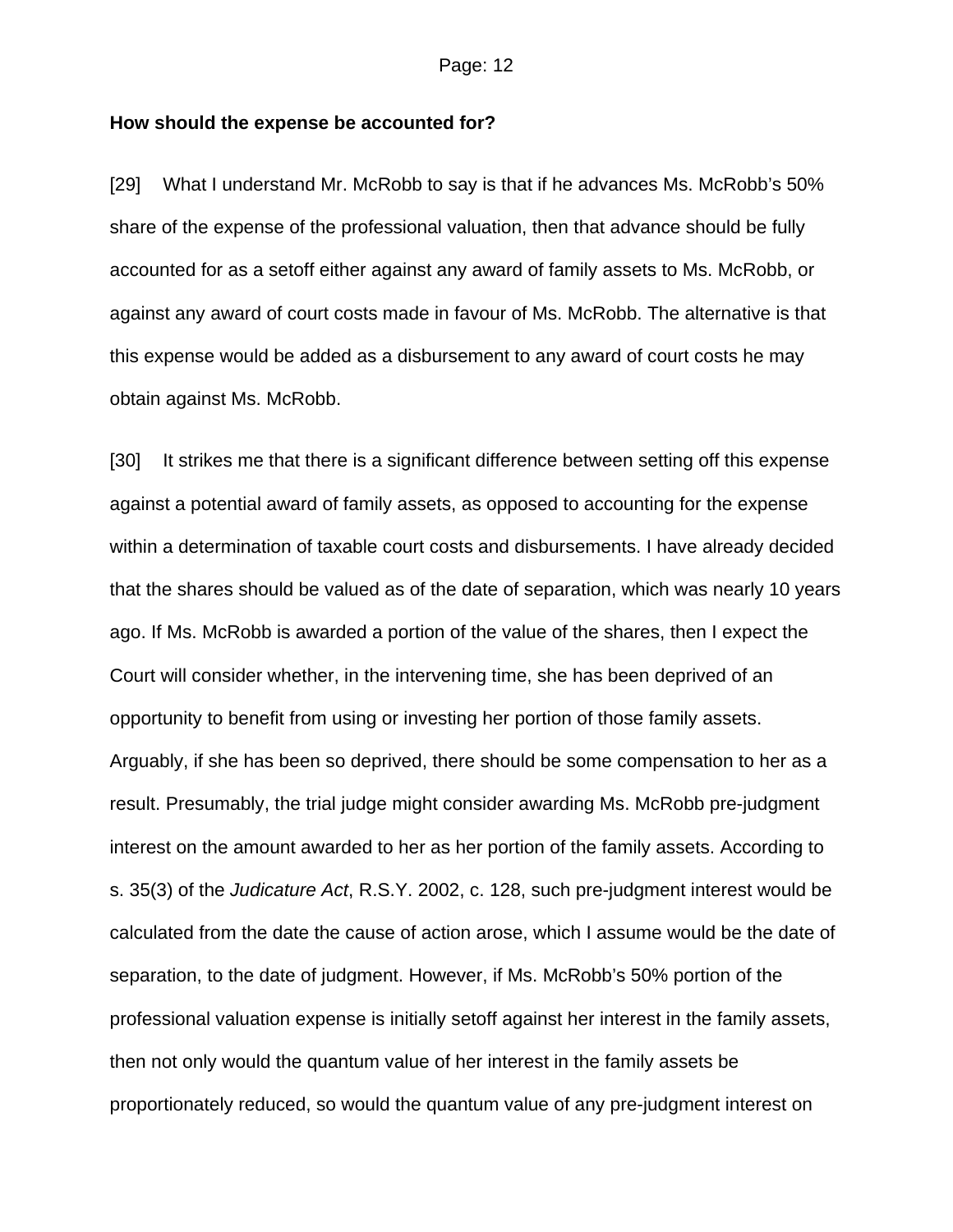#### **How should the expense be accounted for?**

[29] What I understand Mr. McRobb to say is that if he advances Ms. McRobb's 50% share of the expense of the professional valuation, then that advance should be fully accounted for as a setoff either against any award of family assets to Ms. McRobb, or against any award of court costs made in favour of Ms. McRobb. The alternative is that this expense would be added as a disbursement to any award of court costs he may obtain against Ms. McRobb.

[30] It strikes me that there is a significant difference between setting off this expense against a potential award of family assets, as opposed to accounting for the expense within a determination of taxable court costs and disbursements. I have already decided that the shares should be valued as of the date of separation, which was nearly 10 years ago. If Ms. McRobb is awarded a portion of the value of the shares, then I expect the Court will consider whether, in the intervening time, she has been deprived of an opportunity to benefit from using or investing her portion of those family assets. Arguably, if she has been so deprived, there should be some compensation to her as a result. Presumably, the trial judge might consider awarding Ms. McRobb pre-judgment interest on the amount awarded to her as her portion of the family assets. According to s. 35(3) of the *Judicature Act*, R.S.Y. 2002, c. 128, such pre-judgment interest would be calculated from the date the cause of action arose, which I assume would be the date of separation, to the date of judgment. However, if Ms. McRobb's 50% portion of the professional valuation expense is initially setoff against her interest in the family assets, then not only would the quantum value of her interest in the family assets be proportionately reduced, so would the quantum value of any pre-judgment interest on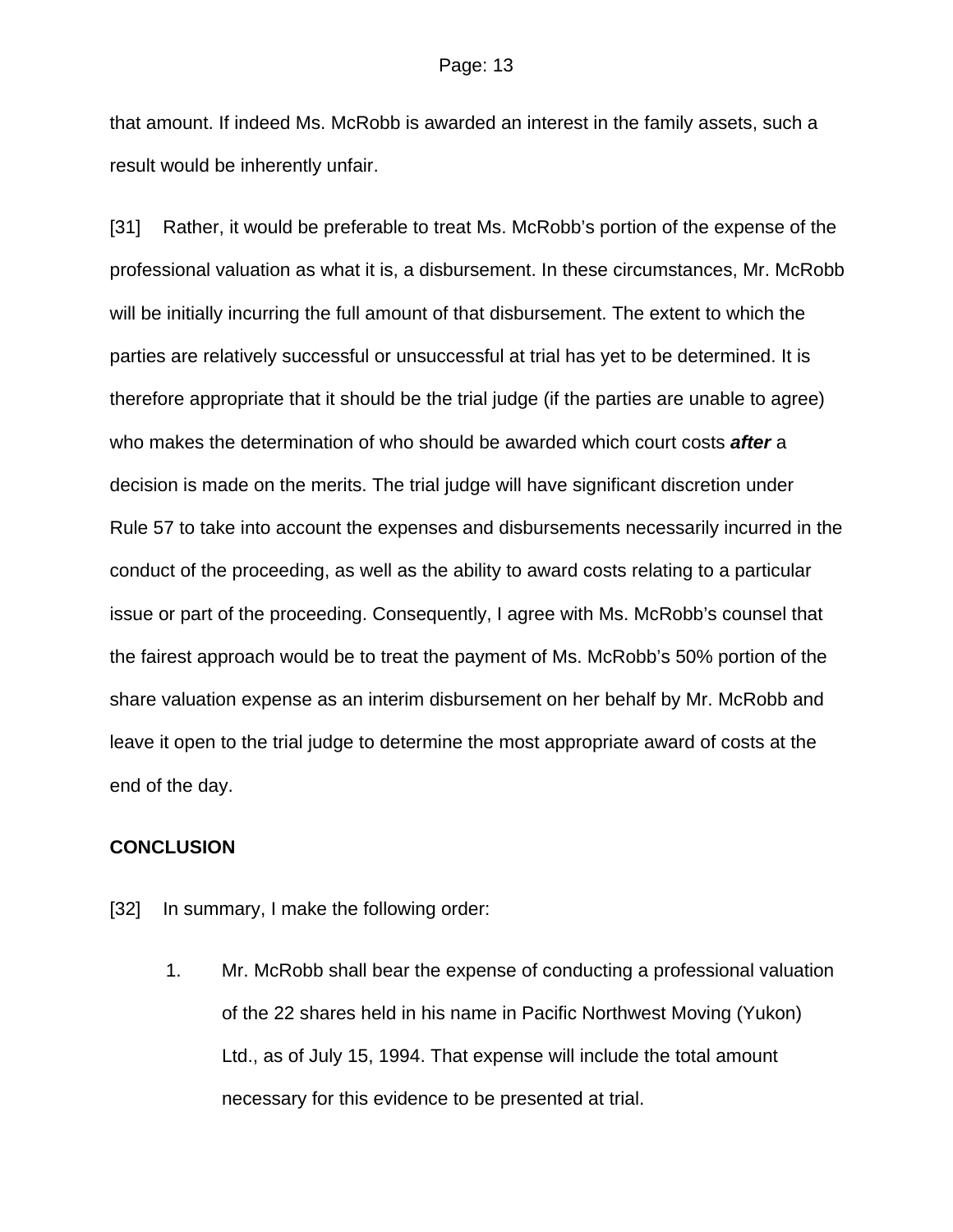that amount. If indeed Ms. McRobb is awarded an interest in the family assets, such a result would be inherently unfair.

[31] Rather, it would be preferable to treat Ms. McRobb's portion of the expense of the professional valuation as what it is, a disbursement. In these circumstances, Mr. McRobb will be initially incurring the full amount of that disbursement. The extent to which the parties are relatively successful or unsuccessful at trial has yet to be determined. It is therefore appropriate that it should be the trial judge (if the parties are unable to agree) who makes the determination of who should be awarded which court costs *after* a decision is made on the merits. The trial judge will have significant discretion under Rule 57 to take into account the expenses and disbursements necessarily incurred in the conduct of the proceeding, as well as the ability to award costs relating to a particular issue or part of the proceeding. Consequently, I agree with Ms. McRobb's counsel that the fairest approach would be to treat the payment of Ms. McRobb's 50% portion of the share valuation expense as an interim disbursement on her behalf by Mr. McRobb and leave it open to the trial judge to determine the most appropriate award of costs at the end of the day.

## **CONCLUSION**

- [32] In summary, I make the following order:
	- 1. Mr. McRobb shall bear the expense of conducting a professional valuation of the 22 shares held in his name in Pacific Northwest Moving (Yukon) Ltd., as of July 15, 1994. That expense will include the total amount necessary for this evidence to be presented at trial.